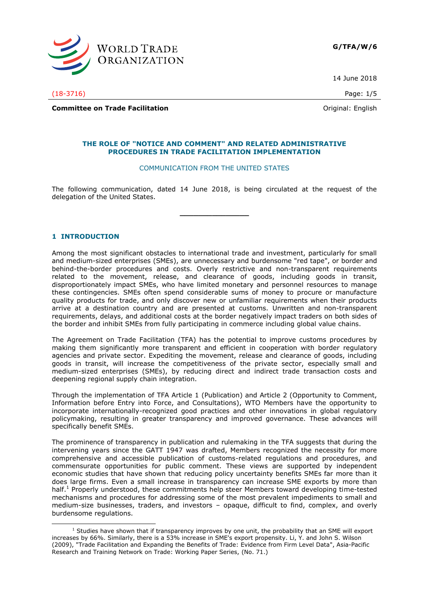

14 June 2018

(18-3716) Page: 1/5

**Committee on Trade Facilitation Committee on Trade Facilitation Committee on Trade Facilitation** 

#### **THE ROLE OF "NOTICE AND COMMENT" AND RELATED ADMINISTRATIVE PROCEDURES IN TRADE FACILITATION IMPLEMENTATION**

### COMMUNICATION FROM THE UNITED STATES

The following communication, dated 14 June 2018, is being circulated at the request of the delegation of the United States.

**\_\_\_\_\_\_\_\_\_\_\_\_\_\_\_**

# **1 INTRODUCTION**

-

Among the most significant obstacles to international trade and investment, particularly for small and medium-sized enterprises (SMEs), are unnecessary and burdensome "red tape", or border and behind-the-border procedures and costs. Overly restrictive and non-transparent requirements related to the movement, release, and clearance of goods, including goods in transit, disproportionately impact SMEs, who have limited monetary and personnel resources to manage these contingencies. SMEs often spend considerable sums of money to procure or manufacture quality products for trade, and only discover new or unfamiliar requirements when their products arrive at a destination country and are presented at customs. Unwritten and non-transparent requirements, delays, and additional costs at the border negatively impact traders on both sides of the border and inhibit SMEs from fully participating in commerce including global value chains.

The Agreement on Trade Facilitation (TFA) has the potential to improve customs procedures by making them significantly more transparent and efficient in cooperation with border regulatory agencies and private sector. Expediting the movement, release and clearance of goods, including goods in transit, will increase the competitiveness of the private sector, especially small and medium-sized enterprises (SMEs), by reducing direct and indirect trade transaction costs and deepening regional supply chain integration.

Through the implementation of TFA Article 1 (Publication) and Article 2 (Opportunity to Comment, Information before Entry into Force, and Consultations), WTO Members have the opportunity to incorporate internationally-recognized good practices and other innovations in global regulatory policymaking, resulting in greater transparency and improved governance. These advances will specifically benefit SMEs.

The prominence of transparency in publication and rulemaking in the TFA suggests that during the intervening years since the GATT 1947 was drafted, Members recognized the necessity for more comprehensive and accessible publication of customs-related regulations and procedures, and commensurate opportunities for public comment. These views are supported by independent economic studies that have shown that reducing policy uncertainty benefits SMEs far more than it does large firms. Even a small increase in transparency can increase SME exports by more than half.<sup>1</sup> Properly understood, these commitments help steer Members toward developing time-tested mechanisms and procedures for addressing some of the most prevalent impediments to small and medium-size businesses, traders, and investors – opaque, difficult to find, complex, and overly burdensome regulations.

 $1$  Studies have shown that if transparency improves by one unit, the probability that an SME will export increases by 66%. Similarly, there is a 53% increase in SME's export propensity. Li, Y. and John S. Wilson (2009), "Trade Facilitation and Expanding the Benefits of Trade: Evidence from Firm Level Data", Asia-Pacific Research and Training Network on Trade: Working Paper Series, (No. 71.)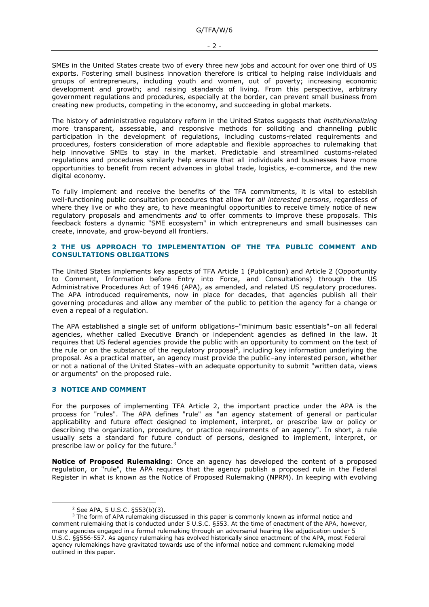SMEs in the United States create two of every three new jobs and account for over one third of US exports. Fostering small business innovation therefore is critical to helping raise individuals and groups of entrepreneurs, including youth and women, out of poverty; increasing economic development and growth; and raising standards of living. From this perspective, arbitrary government regulations and procedures, especially at the border, can prevent small business from creating new products, competing in the economy, and succeeding in global markets.

The history of administrative regulatory reform in the United States suggests that *institutionalizing*  more transparent, assessable, and responsive methods for soliciting and channeling public participation in the development of regulations, including customs-related requirements and procedures, fosters consideration of more adaptable and flexible approaches to rulemaking that help innovative SMEs to stay in the market. Predictable and streamlined customs-related regulations and procedures similarly help ensure that all individuals and businesses have more opportunities to benefit from recent advances in global trade, logistics, e-commerce, and the new digital economy.

To fully implement and receive the benefits of the TFA commitments, it is vital to establish well-functioning public consultation procedures that allow for *all interested persons*, regardless of where they live or who they are, to have meaningful opportunities to receive timely notice of new regulatory proposals and amendments *and* to offer comments to improve these proposals. This feedback fosters a dynamic "SME ecosystem" in which entrepreneurs and small businesses can create, innovate, and grow-beyond all frontiers.

## **2 THE US APPROACH TO IMPLEMENTATION OF THE TFA PUBLIC COMMENT AND CONSULTATIONS OBLIGATIONS**

The United States implements key aspects of TFA Article 1 (Publication) and Article 2 (Opportunity to Comment, Information before Entry into Force, and Consultations) through the US Administrative Procedures Act of 1946 (APA), as amended, and related US regulatory procedures. The APA introduced requirements, now in place for decades, that agencies publish all their governing procedures and allow any member of the public to petition the agency for a change or even a repeal of a regulation.

The APA established a single set of uniform obligations–"minimum basic essentials"–on all federal agencies, whether called Executive Branch or independent agencies as defined in the law. It requires that US federal agencies provide the public with an opportunity to comment on the text of the rule or on the substance of the regulatory proposal<sup>2</sup>, including key information underlying the proposal. As a practical matter, an agency must provide the public–any interested person, whether or not a national of the United States–with an adequate opportunity to submit "written data, views or arguments" on the proposed rule.

# **3 NOTICE AND COMMENT**

For the purposes of implementing TFA Article 2, the important practice under the APA is the process for "rules". The APA defines "rule" as "an agency statement of general or particular applicability and future effect designed to implement, interpret, or prescribe law or policy or describing the organization, procedure, or practice requirements of an agency". In short, a rule usually sets a standard for future conduct of persons, designed to implement, interpret, or prescribe law or policy for the future.<sup>3</sup>

**Notice of Proposed Rulemaking**: Once an agency has developed the content of a proposed regulation, or "rule", the APA requires that the agency publish a proposed rule in the Federal Register in what is known as the Notice of Proposed Rulemaking (NPRM). In keeping with evolving

-

<sup>2</sup> See APA, 5 U.S.C. §553(b)(3).

 $3$  The form of APA rulemaking discussed in this paper is commonly known as informal notice and comment rulemaking that is conducted under 5 U.S.C. §553. At the time of enactment of the APA, however, many agencies engaged in a formal rulemaking through an adversarial hearing like adjudication under 5 U.S.C. §§556-557. As agency rulemaking has evolved historically since enactment of the APA, most Federal agency rulemakings have gravitated towards use of the informal notice and comment rulemaking model outlined in this paper.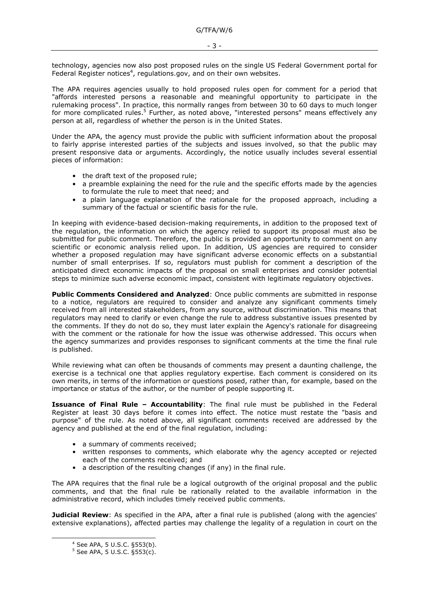- 3 -

technology, agencies now also post proposed rules on the single US Federal Government portal for Federal Register notices<sup>4</sup>, regulations.gov, and on their own websites.

The APA requires agencies usually to hold proposed rules open for comment for a period that "affords interested persons a reasonable and meaningful opportunity to participate in the rulemaking process". In practice, this normally ranges from between 30 to 60 days to much longer for more complicated rules.<sup>5</sup> Further, as noted above, "interested persons" means effectively any person at all, regardless of whether the person is in the United States.

Under the APA, the agency must provide the public with sufficient information about the proposal to fairly apprise interested parties of the subjects and issues involved, so that the public may present responsive data or arguments. Accordingly, the notice usually includes several essential pieces of information:

- the draft text of the proposed rule;
- a preamble explaining the need for the rule and the specific efforts made by the agencies to formulate the rule to meet that need; and
- a plain language explanation of the rationale for the proposed approach, including a summary of the factual or scientific basis for the rule.

In keeping with evidence-based decision-making requirements, in addition to the proposed text of the regulation, the information on which the agency relied to support its proposal must also be submitted for public comment. Therefore, the public is provided an opportunity to comment on any scientific or economic analysis relied upon. In addition, US agencies are required to consider whether a proposed regulation may have significant adverse economic effects on a substantial number of small enterprises. If so, regulators must publish for comment a description of the anticipated direct economic impacts of the proposal on small enterprises and consider potential steps to minimize such adverse economic impact, consistent with legitimate regulatory objectives.

**Public Comments Considered and Analyzed**: Once public comments are submitted in response to a notice, regulators are required to consider and analyze any significant comments timely received from all interested stakeholders, from any source, without discrimination. This means that regulators may need to clarify or even change the rule to address substantive issues presented by the comments. If they do not do so, they must later explain the Agency's rationale for disagreeing with the comment or the rationale for how the issue was otherwise addressed. This occurs when the agency summarizes and provides responses to significant comments at the time the final rule is published.

While reviewing what can often be thousands of comments may present a daunting challenge, the exercise is a technical one that applies regulatory expertise. Each comment is considered on its own merits, in terms of the information or questions posed, rather than, for example, based on the importance or status of the author, or the number of people supporting it.

**Issuance of Final Rule – Accountability**: The final rule must be published in the Federal Register at least 30 days before it comes into effect. The notice must restate the "basis and purpose" of the rule. As noted above, all significant comments received are addressed by the agency and published at the end of the final regulation, including:

- a summary of comments received;
- written responses to comments, which elaborate why the agency accepted or rejected each of the comments received; and
- a description of the resulting changes (if any) in the final rule.

The APA requires that the final rule be a logical outgrowth of the original proposal and the public comments, and that the final rule be rationally related to the available information in the administrative record, which includes timely received public comments.

**Judicial Review**: As specified in the APA, after a final rule is published (along with the agencies' extensive explanations), affected parties may challenge the legality of a regulation in court on the

-

<sup>4</sup> See APA, 5 U.S.C. §553(b).

<sup>5</sup> See APA, 5 U.S.C. §553(c).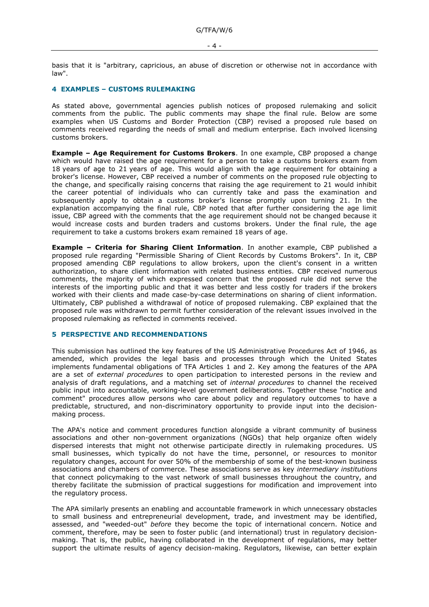basis that it is "arbitrary, capricious, an abuse of discretion or otherwise not in accordance with law".

## **4 EXAMPLES – CUSTOMS RULEMAKING**

As stated above, governmental agencies publish notices of proposed rulemaking and solicit comments from the public. The public comments may shape the final rule. Below are some examples when US Customs and Border Protection (CBP) revised a proposed rule based on comments received regarding the needs of small and medium enterprise. Each involved licensing customs brokers.

**Example – Age Requirement for Customs Brokers**. In one example, CBP proposed a change which would have raised the age requirement for a person to take a customs brokers exam from 18 years of age to 21 years of age. This would align with the age requirement for obtaining a broker's license. However, CBP received a number of comments on the proposed rule objecting to the change, and specifically raising concerns that raising the age requirement to 21 would inhibit the career potential of individuals who can currently take and pass the examination and subsequently apply to obtain a customs broker's license promptly upon turning 21. In the explanation accompanying the final rule, CBP noted that after further considering the age limit issue, CBP agreed with the comments that the age requirement should not be changed because it would increase costs and burden traders and customs brokers. Under the final rule, the age requirement to take a customs brokers exam remained 18 years of age.

**Example – Criteria for Sharing Client Information**. In another example, CBP published a proposed rule regarding "Permissible Sharing of Client Records by Customs Brokers". In it, CBP proposed amending CBP regulations to allow brokers, upon the client's consent in a written authorization, to share client information with related business entities. CBP received numerous comments, the majority of which expressed concern that the proposed rule did not serve the interests of the importing public and that it was better and less costly for traders if the brokers worked with their clients and made case-by-case determinations on sharing of client information. Ultimately, CBP published a withdrawal of notice of proposed rulemaking. CBP explained that the proposed rule was withdrawn to permit further consideration of the relevant issues involved in the proposed rulemaking as reflected in comments received.

#### **5 PERSPECTIVE AND RECOMMENDATIONS**

This submission has outlined the key features of the US Administrative Procedures Act of 1946, as amended, which provides the legal basis and processes through which the United States implements fundamental obligations of TFA Articles 1 and 2. Key among the features of the APA are a set of *external procedures* to open participation to interested persons in the review and analysis of draft regulations, and a matching set of *internal procedures* to channel the received public input into accountable, working-level government deliberations. Together these "notice and comment" procedures allow persons who care about policy and regulatory outcomes to have a predictable, structured, and non-discriminatory opportunity to provide input into the decisionmaking process.

The APA's notice and comment procedures function alongside a vibrant community of business associations and other non-government organizations (NGOs) that help organize often widely dispersed interests that might not otherwise participate directly in rulemaking procedures. US small businesses, which typically do not have the time, personnel, or resources to monitor regulatory changes, account for over 50% of the membership of some of the best-known business associations and chambers of commerce. These associations serve as key *intermediary institutions* that connect policymaking to the vast network of small businesses throughout the country, and thereby facilitate the submission of practical suggestions for modification and improvement into the regulatory process.

The APA similarly presents an enabling and accountable framework in which unnecessary obstacles to small business and entrepreneurial development, trade, and investment may be identified, assessed, and "weeded-out" *before* they become the topic of international concern. Notice and comment, therefore, may be seen to foster public (and international) trust in regulatory decisionmaking. That is, the public, having collaborated in the development of regulations, may better support the ultimate results of agency decision-making. Regulators, likewise, can better explain